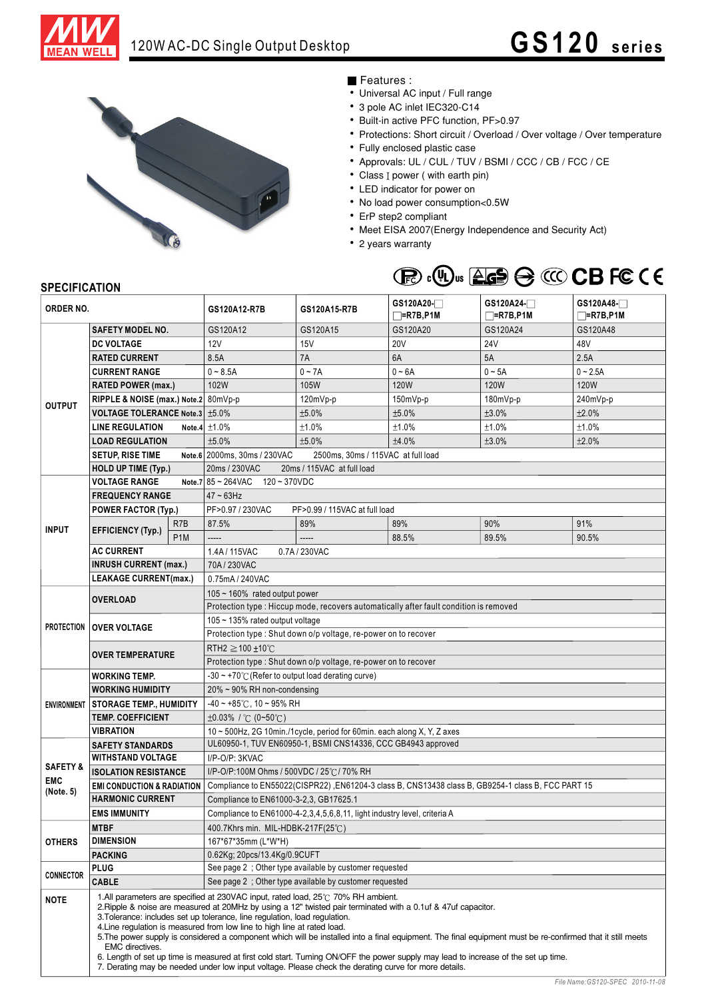

## 120W AC-DC Single Output Desktop **GS120** series



## Features :

- Universal AC input / Full range
- 3 pole AC inlet IEC320-C14
- Built-in active PFC function, PF>0.97
- Protections: Short circuit / Overload / Over voltage / Over temperature
- Fully enclosed plastic case
- Approvals: UL / CUL / TUV / BSMI / CCC / CB / FCC / CE
- Class I power ( with earth pin)
- LED indicator for power on
- No load power consumption<0.5W
- ErP step2 compliant
- Meet EISA 2007(Energy Independence and Security Act)
- 2 years warranty



## **SPECIFICATION**

| ORDER NO.                                      |                                                                                                                                                                                                                                                                                                                                                                                                                                                                                                                                                                                                                                                                                                                                                                                                            | GS120A12-R7B            | GS120A15-R7B                                                                                                                            | GS120A20-<br>$\neg$ =R7B,P1M  | $GS120A24-$<br>$\neg$ =R7B,P1M | GS120A48-<br>$=$ R7B,P1M |             |
|------------------------------------------------|------------------------------------------------------------------------------------------------------------------------------------------------------------------------------------------------------------------------------------------------------------------------------------------------------------------------------------------------------------------------------------------------------------------------------------------------------------------------------------------------------------------------------------------------------------------------------------------------------------------------------------------------------------------------------------------------------------------------------------------------------------------------------------------------------------|-------------------------|-----------------------------------------------------------------------------------------------------------------------------------------|-------------------------------|--------------------------------|--------------------------|-------------|
|                                                | <b>SAFETY MODEL NO.</b>                                                                                                                                                                                                                                                                                                                                                                                                                                                                                                                                                                                                                                                                                                                                                                                    |                         | GS120A12                                                                                                                                | GS120A15                      | GS120A20                       | GS120A24                 | GS120A48    |
| <b>OUTPUT</b>                                  | DC VOLTAGE                                                                                                                                                                                                                                                                                                                                                                                                                                                                                                                                                                                                                                                                                                                                                                                                 |                         | 12V                                                                                                                                     | 15V                           | <b>20V</b>                     | 24 <sub>V</sub>          | 48V         |
|                                                | <b>RATED CURRENT</b>                                                                                                                                                                                                                                                                                                                                                                                                                                                                                                                                                                                                                                                                                                                                                                                       |                         | 8.5A                                                                                                                                    | 7A                            | 6A                             | 5A                       | 2.5A        |
|                                                | <b>CURRENT RANGE</b>                                                                                                                                                                                                                                                                                                                                                                                                                                                                                                                                                                                                                                                                                                                                                                                       |                         | $0 - 8.5A$                                                                                                                              | $0 - 7A$                      | $0 - 6A$                       | $0 - 5A$                 | $0 - 2.5A$  |
|                                                | <b>RATED POWER (max.)</b>                                                                                                                                                                                                                                                                                                                                                                                                                                                                                                                                                                                                                                                                                                                                                                                  |                         | 102W                                                                                                                                    | 105W                          | 120W                           | 120W                     | <b>120W</b> |
|                                                | RIPPLE & NOISE (max.) Note.2 80mVp-p                                                                                                                                                                                                                                                                                                                                                                                                                                                                                                                                                                                                                                                                                                                                                                       |                         |                                                                                                                                         | 120mVp-p                      | $150mVp-p$                     | $180mVp-p$               | 240mVp-p    |
|                                                | <b>VOLTAGE TOLERANCE Note.3   ±5.0%</b>                                                                                                                                                                                                                                                                                                                                                                                                                                                                                                                                                                                                                                                                                                                                                                    |                         |                                                                                                                                         | ±5.0%                         | ±5.0%                          | ±3.0%                    | ±2.0%       |
|                                                | <b>LINE REGULATION</b>                                                                                                                                                                                                                                                                                                                                                                                                                                                                                                                                                                                                                                                                                                                                                                                     |                         | Note.4 $±1.0\%$                                                                                                                         | ±1.0%                         | ±1.0%                          | ±1.0%                    | ±1.0%       |
|                                                | <b>LOAD REGULATION</b>                                                                                                                                                                                                                                                                                                                                                                                                                                                                                                                                                                                                                                                                                                                                                                                     |                         | ±5.0%                                                                                                                                   | ±5.0%                         | ±4.0%                          | ±3.0%                    | ±2.0%       |
|                                                | <b>SETUP, RISE TIME</b>                                                                                                                                                                                                                                                                                                                                                                                                                                                                                                                                                                                                                                                                                                                                                                                    |                         | Note.6 2000ms, 30ms / 230VAC                                                                                                            |                               |                                |                          |             |
|                                                |                                                                                                                                                                                                                                                                                                                                                                                                                                                                                                                                                                                                                                                                                                                                                                                                            |                         | 2500ms, 30ms / 115VAC at full load                                                                                                      |                               |                                |                          |             |
|                                                | <b>HOLD UP TIME (Typ.)</b><br><b>VOLTAGE RANGE</b>                                                                                                                                                                                                                                                                                                                                                                                                                                                                                                                                                                                                                                                                                                                                                         |                         | 20ms / 230VAC<br>20ms / 115VAC at full load<br>Note.7 $85 - 264$ VAC $120 - 370$ VDC                                                    |                               |                                |                          |             |
| <b>INPUT</b>                                   |                                                                                                                                                                                                                                                                                                                                                                                                                                                                                                                                                                                                                                                                                                                                                                                                            |                         |                                                                                                                                         |                               |                                |                          |             |
|                                                | <b>FREQUENCY RANGE</b>                                                                                                                                                                                                                                                                                                                                                                                                                                                                                                                                                                                                                                                                                                                                                                                     |                         | $47 \sim 63$ Hz                                                                                                                         |                               |                                |                          |             |
|                                                | <b>POWER FACTOR (Typ.)</b>                                                                                                                                                                                                                                                                                                                                                                                                                                                                                                                                                                                                                                                                                                                                                                                 |                         | PF>0.97 / 230VAC                                                                                                                        | PF>0.99 / 115VAC at full load |                                |                          |             |
|                                                | <b>EFFICIENCY (Typ.)</b>                                                                                                                                                                                                                                                                                                                                                                                                                                                                                                                                                                                                                                                                                                                                                                                   | R7B<br>P <sub>1</sub> M | 87.5%                                                                                                                                   | 89%<br>-----                  | 89%                            | 90%                      | 91%         |
|                                                |                                                                                                                                                                                                                                                                                                                                                                                                                                                                                                                                                                                                                                                                                                                                                                                                            |                         | -----                                                                                                                                   |                               | 88.5%                          | 89.5%                    | 90.5%       |
|                                                | <b>AC CURRENT</b>                                                                                                                                                                                                                                                                                                                                                                                                                                                                                                                                                                                                                                                                                                                                                                                          |                         | 1.4A / 115VAC<br>0.7A / 230VAC                                                                                                          |                               |                                |                          |             |
|                                                | <b>INRUSH CURRENT (max.)</b>                                                                                                                                                                                                                                                                                                                                                                                                                                                                                                                                                                                                                                                                                                                                                                               |                         | 70A/230VAC                                                                                                                              |                               |                                |                          |             |
|                                                | <b>LEAKAGE CURRENT(max.)</b>                                                                                                                                                                                                                                                                                                                                                                                                                                                                                                                                                                                                                                                                                                                                                                               |                         | 0.75mA / 240VAC                                                                                                                         |                               |                                |                          |             |
| <b>PROTECTION</b>                              | <b>OVERLOAD</b>                                                                                                                                                                                                                                                                                                                                                                                                                                                                                                                                                                                                                                                                                                                                                                                            |                         | $105 \sim 160\%$ rated output power                                                                                                     |                               |                                |                          |             |
|                                                |                                                                                                                                                                                                                                                                                                                                                                                                                                                                                                                                                                                                                                                                                                                                                                                                            |                         | Protection type : Hiccup mode, recovers automatically after fault condition is removed                                                  |                               |                                |                          |             |
|                                                | <b>OVER VOLTAGE</b>                                                                                                                                                                                                                                                                                                                                                                                                                                                                                                                                                                                                                                                                                                                                                                                        |                         | 105 ~ 135% rated output voltage<br>Protection type : Shut down o/p voltage, re-power on to recover                                      |                               |                                |                          |             |
|                                                | <b>OVER TEMPERATURE</b>                                                                                                                                                                                                                                                                                                                                                                                                                                                                                                                                                                                                                                                                                                                                                                                    |                         |                                                                                                                                         |                               |                                |                          |             |
|                                                |                                                                                                                                                                                                                                                                                                                                                                                                                                                                                                                                                                                                                                                                                                                                                                                                            |                         | RTH2 $\geq$ 100 ±10°C                                                                                                                   |                               |                                |                          |             |
|                                                |                                                                                                                                                                                                                                                                                                                                                                                                                                                                                                                                                                                                                                                                                                                                                                                                            |                         | Protection type : Shut down o/p voltage, re-power on to recover                                                                         |                               |                                |                          |             |
|                                                | <b>WORKING TEMP.</b>                                                                                                                                                                                                                                                                                                                                                                                                                                                                                                                                                                                                                                                                                                                                                                                       |                         | -30 ~ +70 $\degree$ C (Refer to output load derating curve)                                                                             |                               |                                |                          |             |
|                                                | <b>WORKING HUMIDITY</b>                                                                                                                                                                                                                                                                                                                                                                                                                                                                                                                                                                                                                                                                                                                                                                                    |                         | 20% ~ 90% RH non-condensing                                                                                                             |                               |                                |                          |             |
|                                                | <b>ENVIRONMENT STORAGE TEMP., HUMIDITY</b>                                                                                                                                                                                                                                                                                                                                                                                                                                                                                                                                                                                                                                                                                                                                                                 |                         | $-40 \sim +85^{\circ}$ C, 10 ~ 95% RH                                                                                                   |                               |                                |                          |             |
|                                                | <b>TEMP. COEFFICIENT</b>                                                                                                                                                                                                                                                                                                                                                                                                                                                                                                                                                                                                                                                                                                                                                                                   |                         | $\pm 0.03\%$ / °C (0~50°C)                                                                                                              |                               |                                |                          |             |
|                                                | <b>VIBRATION</b>                                                                                                                                                                                                                                                                                                                                                                                                                                                                                                                                                                                                                                                                                                                                                                                           |                         | 10 ~ 500Hz, 2G 10min./1cycle, period for 60min. each along X, Y, Z axes<br>UL60950-1, TUV EN60950-1, BSMI CNS14336, CCC GB4943 approved |                               |                                |                          |             |
| <b>SAFETY &amp;</b><br><b>EMC</b><br>(Note. 5) | <b>SAFETY STANDARDS</b><br><b>WITHSTAND VOLTAGE</b>                                                                                                                                                                                                                                                                                                                                                                                                                                                                                                                                                                                                                                                                                                                                                        |                         | I/P-O/P: 3KVAC                                                                                                                          |                               |                                |                          |             |
|                                                |                                                                                                                                                                                                                                                                                                                                                                                                                                                                                                                                                                                                                                                                                                                                                                                                            |                         | I/P-O/P:100M Ohms / 500VDC / 25℃/70% RH                                                                                                 |                               |                                |                          |             |
|                                                | <b>ISOLATION RESISTANCE</b><br><b>EMI CONDUCTION &amp; RADIATION</b>                                                                                                                                                                                                                                                                                                                                                                                                                                                                                                                                                                                                                                                                                                                                       |                         | Compliance to EN55022(CISPR22), EN61204-3 class B, CNS13438 class B, GB9254-1 class B, FCC PART 15                                      |                               |                                |                          |             |
|                                                | <b>HARMONIC CURRENT</b>                                                                                                                                                                                                                                                                                                                                                                                                                                                                                                                                                                                                                                                                                                                                                                                    |                         | Compliance to EN61000-3-2,3, GB17625.1                                                                                                  |                               |                                |                          |             |
|                                                | <b>EMS IMMUNITY</b>                                                                                                                                                                                                                                                                                                                                                                                                                                                                                                                                                                                                                                                                                                                                                                                        |                         | Compliance to EN61000-4-2,3,4,5,6,8,11, light industry level, criteria A                                                                |                               |                                |                          |             |
|                                                | <b>MTBF</b>                                                                                                                                                                                                                                                                                                                                                                                                                                                                                                                                                                                                                                                                                                                                                                                                |                         | 400.7Khrs min. MIL-HDBK-217F(25°C)                                                                                                      |                               |                                |                          |             |
| <b>OTHERS</b>                                  | <b>DIMENSION</b>                                                                                                                                                                                                                                                                                                                                                                                                                                                                                                                                                                                                                                                                                                                                                                                           |                         | 167*67*35mm (L*W*H)                                                                                                                     |                               |                                |                          |             |
|                                                |                                                                                                                                                                                                                                                                                                                                                                                                                                                                                                                                                                                                                                                                                                                                                                                                            |                         | 0.62Kg; 20pcs/13.4Kg/0.9CUFT                                                                                                            |                               |                                |                          |             |
|                                                | <b>PACKING</b><br><b>PLUG</b>                                                                                                                                                                                                                                                                                                                                                                                                                                                                                                                                                                                                                                                                                                                                                                              |                         | See page 2 : Other type available by customer requested                                                                                 |                               |                                |                          |             |
| <b>CONNECTOR</b>                               | <b>CABLE</b>                                                                                                                                                                                                                                                                                                                                                                                                                                                                                                                                                                                                                                                                                                                                                                                               |                         | See page 2; Other type available by customer requested                                                                                  |                               |                                |                          |             |
| <b>NOTE</b>                                    | 1. All parameters are specified at 230VAC input, rated load, $25^{\circ}$ 70% RH ambient.<br>2. Ripple & noise are measured at 20MHz by using a 12" twisted pair terminated with a 0.1uf & 47uf capacitor.<br>3. Tolerance: includes set up tolerance, line regulation, load regulation.<br>4. Line regulation is measured from low line to high line at rated load.<br>5. The power supply is considered a component which will be installed into a final equipment. The final equipment must be re-confirmed that it still meets<br><b>EMC</b> directives.<br>6. Length of set up time is measured at first cold start. Turning ON/OFF the power supply may lead to increase of the set up time.<br>7. Derating may be needed under low input voltage. Please check the derating curve for more details. |                         |                                                                                                                                         |                               |                                |                          |             |